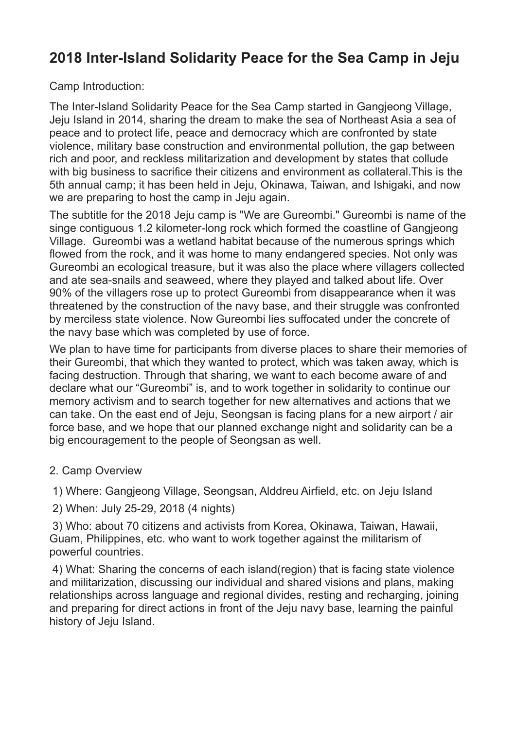## **2018 Inter-Island Solidarity Peace for the Sea Camp in Jeju**

Camp Introduction:

The Inter-Island Solidarity Peace for the Sea Camp started in Gangjeong Village, Jeju Island in 2014, sharing the dream to make the sea of Northeast Asia a sea of peace and to protect life, peace and democracy which are confronted by state violence, military base construction and environmental pollution, the gap between rich and poor, and reckless militarization and development by states that collude with big business to sacrifice their citizens and environment as collateral.This is the 5th annual camp; it has been held in Jeju, Okinawa, Taiwan, and Ishigaki, and now we are preparing to host the camp in Jeju again.

The subtitle for the 2018 Jeju camp is "We are Gureombi." Gureombi is name of the singe contiguous 1.2 kilometer-long rock which formed the coastline of Gangieong Village. Gureombi was a wetland habitat because of the numerous springs which flowed from the rock, and it was home to many endangered species. Not only was Gureombi an ecological treasure, but it was also the place where villagers collected and ate sea-snails and seaweed, where they played and talked about life. Over 90% of the villagers rose up to protect Gureombi from disappearance when it was threatened by the construction of the navy base, and their struggle was confronted by merciless state violence. Now Gureombi lies suffocated under the concrete of the navy base which was completed by use of force.

We plan to have time for participants from diverse places to share their memories of their Gureombi, that which they wanted to protect, which was taken away, which is facing destruction. Through that sharing, we want to each become aware of and declare what our "Gureombi" is, and to work together in solidarity to continue our memory activism and to search together for new alternatives and actions that we can take. On the east end of Jeju, Seongsan is facing plans for a new airport / air force base, and we hope that our planned exchange night and solidarity can be a big encouragement to the people of Seongsan as well.

2. Camp Overview

1) Where: Gangjeong Village, Seongsan, Alddreu Airfield, etc. on Jeju Island

2) When: July 25-29, 2018 (4 nights)

 3) Who: about 70 citizens and activists from Korea, Okinawa, Taiwan, Hawaii, Guam, Philippines, etc. who want to work together against the militarism of powerful countries.

 4) What: Sharing the concerns of each island(region) that is facing state violence and militarization, discussing our individual and shared visions and plans, making relationships across language and regional divides, resting and recharging, joining and preparing for direct actions in front of the Jeju navy base, learning the painful history of Jeju Island.